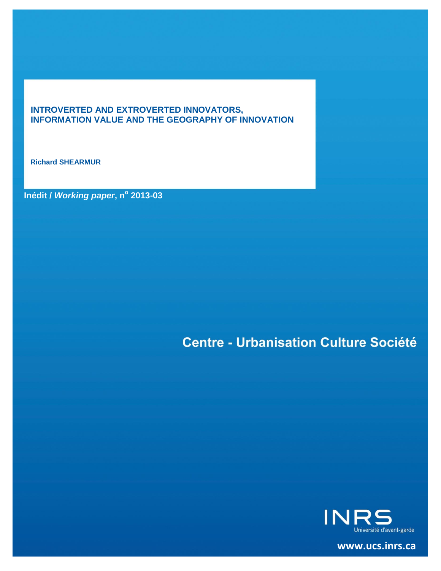# **INTROVERTED AND EXTROVERTED INNOVATORS, INFORMATION VALUE AND THE GEOGRAPHY OF INNOVATION**

**Richard SHEARMUR**

**Inédit /** *Working paper***, n<sup>o</sup> 2013-03**

# **Centre - Urbanisation Culture Société**



**[www.ucs.inrs.ca](http://www.ucs.inrs.ca/)**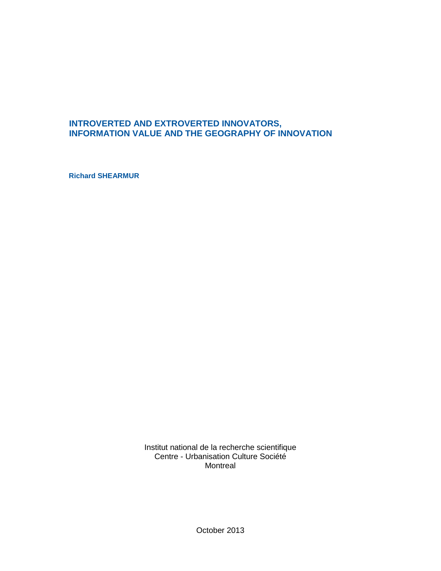# **INTROVERTED AND EXTROVERTED INNOVATORS, INFORMATION VALUE AND THE GEOGRAPHY OF INNOVATION**

**Richard SHEARMUR**

Institut national de la recherche scientifique Centre - Urbanisation Culture Société Montreal

October 2013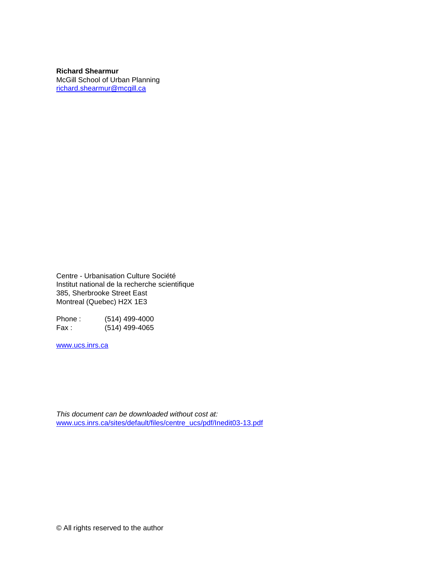**Richard Shearmur** McGill School of Urban Planning [richard.shearmur@mcgill.ca](mailto:richard.shearmur@mcgill.ca)

Centre - Urbanisation Culture Société Institut national de la recherche scientifique 385, Sherbrooke Street East Montreal (Quebec) H2X 1E3

Phone : (514) 499-4000 Fax : (514) 499-4065

[www.ucs.inrs.ca](http://www.ucs.inrs.ca/)

*This document can be downloaded without cost at:* [www.ucs.inrs.ca/sites/default/files/centre\\_ucs/pdf/Inedit03-13.pdf](http://www.ucs.inrs.ca/sites/default/files/centre_ucs/pdf/Inedit03-13.pdf)

© All rights reserved to the author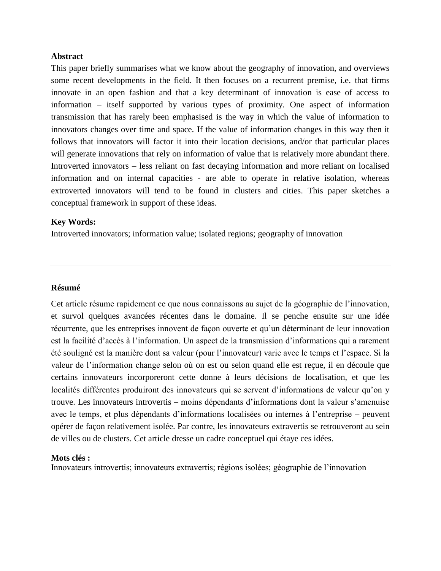#### **Abstract**

This paper briefly summarises what we know about the geography of innovation, and overviews some recent developments in the field. It then focuses on a recurrent premise, i.e. that firms innovate in an open fashion and that a key determinant of innovation is ease of access to information – itself supported by various types of proximity. One aspect of information transmission that has rarely been emphasised is the way in which the value of information to innovators changes over time and space. If the value of information changes in this way then it follows that innovators will factor it into their location decisions, and/or that particular places will generate innovations that rely on information of value that is relatively more abundant there. Introverted innovators – less reliant on fast decaying information and more reliant on localised information and on internal capacities - are able to operate in relative isolation, whereas extroverted innovators will tend to be found in clusters and cities. This paper sketches a conceptual framework in support of these ideas.

#### **Key Words:**

Introverted innovators; information value; isolated regions; geography of innovation

#### **Résumé**

Cet article résume rapidement ce que nous connaissons au sujet de la géographie de l'innovation, et survol quelques avancées récentes dans le domaine. Il se penche ensuite sur une idée récurrente, que les entreprises innovent de façon ouverte et qu'un déterminant de leur innovation est la facilité d'accès à l'information. Un aspect de la transmission d'informations qui a rarement été souligné est la manière dont sa valeur (pour l'innovateur) varie avec le temps et l'espace. Si la valeur de l'information change selon où on est ou selon quand elle est reçue, il en découle que certains innovateurs incorporeront cette donne à leurs décisions de localisation, et que les localités différentes produiront des innovateurs qui se servent d'informations de valeur qu'on y trouve. Les innovateurs introvertis – moins dépendants d'informations dont la valeur s'amenuise avec le temps, et plus dépendants d'informations localisées ou internes à l'entreprise – peuvent opérer de façon relativement isolée. Par contre, les innovateurs extravertis se retrouveront au sein de villes ou de clusters. Cet article dresse un cadre conceptuel qui étaye ces idées.

#### **Mots clés :**

Innovateurs introvertis; innovateurs extravertis; régions isolées; géographie de l'innovation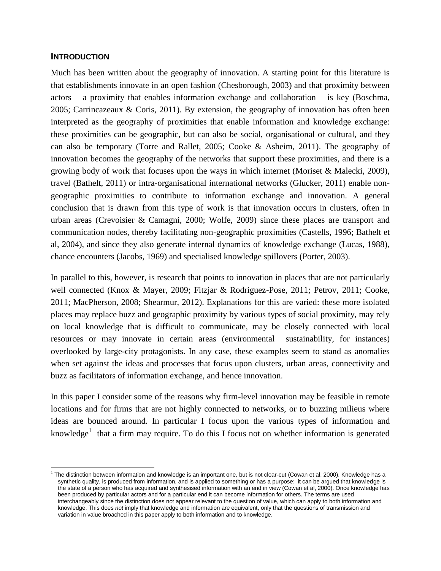# **INTRODUCTION**

 $\overline{a}$ 

Much has been written about the geography of innovation. A starting point for this literature is that establishments innovate in an open fashion (Chesborough, 2003) and that proximity between  $actors - a proximity that enables information exchange and collaboration - is key (Boschma,$ 2005; Carrincazeaux & Coris, 2011). By extension, the geography of innovation has often been interpreted as the geography of proximities that enable information and knowledge exchange: these proximities can be geographic, but can also be social, organisational or cultural, and they can also be temporary (Torre and Rallet, 2005; Cooke & Asheim, 2011). The geography of innovation becomes the geography of the networks that support these proximities, and there is a growing body of work that focuses upon the ways in which internet (Moriset & Malecki, 2009), travel (Bathelt, 2011) or intra-organisational international networks (Glucker, 2011) enable nongeographic proximities to contribute to information exchange and innovation. A general conclusion that is drawn from this type of work is that innovation occurs in clusters, often in urban areas (Crevoisier & Camagni, 2000; Wolfe, 2009) since these places are transport and communication nodes, thereby facilitating non-geographic proximities (Castells, 1996; Bathelt et al, 2004), and since they also generate internal dynamics of knowledge exchange (Lucas, 1988), chance encounters (Jacobs, 1969) and specialised knowledge spillovers (Porter, 2003).

In parallel to this, however, is research that points to innovation in places that are not particularly well connected (Knox & Mayer, 2009; Fitzjar & Rodriguez-Pose, 2011; Petrov, 2011; Cooke, 2011; MacPherson, 2008; Shearmur, 2012). Explanations for this are varied: these more isolated places may replace buzz and geographic proximity by various types of social proximity, may rely on local knowledge that is difficult to communicate, may be closely connected with local resources or may innovate in certain areas (environmental sustainability, for instances) overlooked by large-city protagonists. In any case, these examples seem to stand as anomalies when set against the ideas and processes that focus upon clusters, urban areas, connectivity and buzz as facilitators of information exchange, and hence innovation.

In this paper I consider some of the reasons why firm-level innovation may be feasible in remote locations and for firms that are not highly connected to networks, or to buzzing milieus where ideas are bounced around. In particular I focus upon the various types of information and knowledge<sup>1</sup> that a firm may require. To do this I focus not on whether information is generated

 $1$  The distinction between information and knowledge is an important one, but is not clear-cut (Cowan et al, 2000). Knowledge has a synthetic quality, is produced from information, and is applied to something or has a purpose: it can be argued that knowledge is the state of a person who has acquired and synthesised information with an end in view (Cowan et al, 2000). Once knowledge has been produced by particular actors and for a particular end it can become information for others. The terms are used interchangeably since the distinction does not appear relevant to the question of value, which can apply to both information and knowledge. This does *not* imply that knowledge and information are equivalent, only that the questions of transmission and variation in value broached in this paper apply to both information and to knowledge.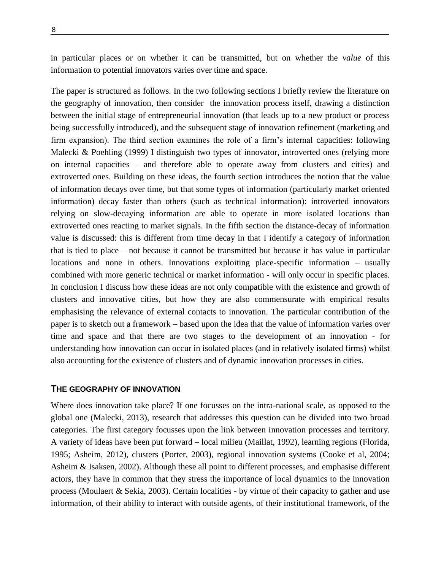8

in particular places or on whether it can be transmitted, but on whether the *value* of this information to potential innovators varies over time and space.

The paper is structured as follows. In the two following sections I briefly review the literature on the geography of innovation, then consider the innovation process itself, drawing a distinction between the initial stage of entrepreneurial innovation (that leads up to a new product or process being successfully introduced), and the subsequent stage of innovation refinement (marketing and firm expansion). The third section examines the role of a firm's internal capacities: following Malecki & Poehling (1999) I distinguish two types of innovator, introverted ones (relying more on internal capacities – and therefore able to operate away from clusters and cities) and extroverted ones. Building on these ideas, the fourth section introduces the notion that the value of information decays over time, but that some types of information (particularly market oriented information) decay faster than others (such as technical information): introverted innovators relying on slow-decaying information are able to operate in more isolated locations than extroverted ones reacting to market signals. In the fifth section the distance-decay of information value is discussed: this is different from time decay in that I identify a category of information that is tied to place – not because it cannot be transmitted but because it has value in particular locations and none in others. Innovations exploiting place-specific information – usually combined with more generic technical or market information - will only occur in specific places. In conclusion I discuss how these ideas are not only compatible with the existence and growth of clusters and innovative cities, but how they are also commensurate with empirical results emphasising the relevance of external contacts to innovation. The particular contribution of the paper is to sketch out a framework – based upon the idea that the value of information varies over time and space and that there are two stages to the development of an innovation - for understanding how innovation can occur in isolated places (and in relatively isolated firms) whilst also accounting for the existence of clusters and of dynamic innovation processes in cities.

## **THE GEOGRAPHY OF INNOVATION**

Where does innovation take place? If one focusses on the intra-national scale, as opposed to the global one (Malecki, 2013), research that addresses this question can be divided into two broad categories. The first category focusses upon the link between innovation processes and territory. A variety of ideas have been put forward – local milieu (Maillat, 1992), learning regions (Florida, 1995; Asheim, 2012), clusters (Porter, 2003), regional innovation systems (Cooke et al, 2004; Asheim & Isaksen, 2002). Although these all point to different processes, and emphasise different actors, they have in common that they stress the importance of local dynamics to the innovation process (Moulaert & Sekia, 2003). Certain localities - by virtue of their capacity to gather and use information, of their ability to interact with outside agents, of their institutional framework, of the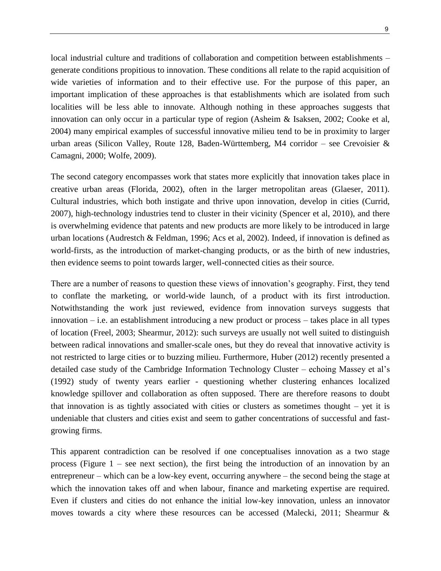local industrial culture and traditions of collaboration and competition between establishments – generate conditions propitious to innovation. These conditions all relate to the rapid acquisition of wide varieties of information and to their effective use. For the purpose of this paper, an important implication of these approaches is that establishments which are isolated from such localities will be less able to innovate. Although nothing in these approaches suggests that innovation can only occur in a particular type of region (Asheim & Isaksen, 2002; Cooke et al, 2004) many empirical examples of successful innovative milieu tend to be in proximity to larger urban areas (Silicon Valley, Route 128, Baden-Württemberg, M4 corridor – see Crevoisier & Camagni, 2000; Wolfe, 2009).

The second category encompasses work that states more explicitly that innovation takes place in creative urban areas (Florida, 2002), often in the larger metropolitan areas (Glaeser, 2011). Cultural industries, which both instigate and thrive upon innovation, develop in cities (Currid, 2007), high-technology industries tend to cluster in their vicinity (Spencer et al, 2010), and there is overwhelming evidence that patents and new products are more likely to be introduced in large urban locations (Audrestch & Feldman, 1996; Acs et al, 2002). Indeed, if innovation is defined as world-firsts, as the introduction of market-changing products, or as the birth of new industries, then evidence seems to point towards larger, well-connected cities as their source.

There are a number of reasons to question these views of innovation's geography. First, they tend to conflate the marketing, or world-wide launch, of a product with its first introduction. Notwithstanding the work just reviewed, evidence from innovation surveys suggests that innovation – i.e. an establishment introducing a new product or process – takes place in all types of location (Freel, 2003; Shearmur, 2012): such surveys are usually not well suited to distinguish between radical innovations and smaller-scale ones, but they do reveal that innovative activity is not restricted to large cities or to buzzing milieu. Furthermore, Huber (2012) recently presented a detailed case study of the Cambridge Information Technology Cluster – echoing Massey et al's (1992) study of twenty years earlier - questioning whether clustering enhances localized knowledge spillover and collaboration as often supposed. There are therefore reasons to doubt that innovation is as tightly associated with cities or clusters as sometimes thought – yet it is undeniable that clusters and cities exist and seem to gather concentrations of successful and fastgrowing firms.

This apparent contradiction can be resolved if one conceptualises innovation as a two stage process (Figure  $1$  – see next section), the first being the introduction of an innovation by an entrepreneur – which can be a low-key event, occurring anywhere – the second being the stage at which the innovation takes off and when labour, finance and marketing expertise are required. Even if clusters and cities do not enhance the initial low-key innovation, unless an innovator moves towards a city where these resources can be accessed (Malecki, 2011; Shearmur &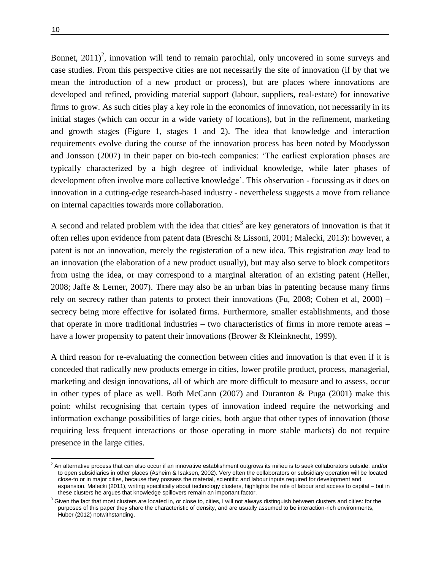$\overline{a}$ 

Bonnet,  $2011$ <sup>2</sup>, innovation will tend to remain parochial, only uncovered in some surveys and case studies. From this perspective cities are not necessarily the site of innovation (if by that we mean the introduction of a new product or process), but are places where innovations are developed and refined, providing material support (labour, suppliers, real-estate) for innovative firms to grow. As such cities play a key role in the economics of innovation, not necessarily in its initial stages (which can occur in a wide variety of locations), but in the refinement, marketing and growth stages (Figure 1, stages 1 and 2). The idea that knowledge and interaction requirements evolve during the course of the innovation process has been noted by Moodysson and Jonsson (2007) in their paper on bio-tech companies: 'The earliest exploration phases are typically characterized by a high degree of individual knowledge, while later phases of development often involve more collective knowledge'. This observation - focussing as it does on innovation in a cutting-edge research-based industry - nevertheless suggests a move from reliance on internal capacities towards more collaboration.

A second and related problem with the idea that cities<sup>3</sup> are key generators of innovation is that it often relies upon evidence from patent data (Breschi & Lissoni, 2001; Malecki, 2013): however, a patent is not an innovation, merely the registeration of a new idea. This registration *may* lead to an innovation (the elaboration of a new product usually), but may also serve to block competitors from using the idea, or may correspond to a marginal alteration of an existing patent (Heller, 2008; Jaffe & Lerner, 2007). There may also be an urban bias in patenting because many firms rely on secrecy rather than patents to protect their innovations (Fu, 2008; Cohen et al, 2000) – secrecy being more effective for isolated firms. Furthermore, smaller establishments, and those that operate in more traditional industries – two characteristics of firms in more remote areas – have a lower propensity to patent their innovations (Brower & Kleinknecht, 1999).

A third reason for re-evaluating the connection between cities and innovation is that even if it is conceded that radically new products emerge in cities, lower profile product, process, managerial, marketing and design innovations, all of which are more difficult to measure and to assess, occur in other types of place as well. Both McCann  $(2007)$  and Duranton & Puga  $(2001)$  make this point: whilst recognising that certain types of innovation indeed require the networking and information exchange possibilities of large cities, both argue that other types of innovation (those requiring less frequent interactions or those operating in more stable markets) do not require presence in the large cities.

 $^2$  An alternative process that can also occur if an innovative establishment outgrows its milieu is to seek collaborators outside, and/or to open subsidiaries in other places (Asheim & Isaksen, 2002). Very often the collaborators or subsidiary operation will be located close-to or in major cities, because they possess the material, scientific and labour inputs required for development and expansion. Malecki (2011), writing specifically about technology clusters, highlights the role of labour and access to capital – but in these clusters he argues that knowledge spillovers remain an important factor.

 $3$  Given the fact that most clusters are located in, or close to, cities, I will not always distinguish between clusters and cities: for the purposes of this paper they share the characteristic of density, and are usually assumed to be interaction-rich environments, Huber (2012) notwithstanding.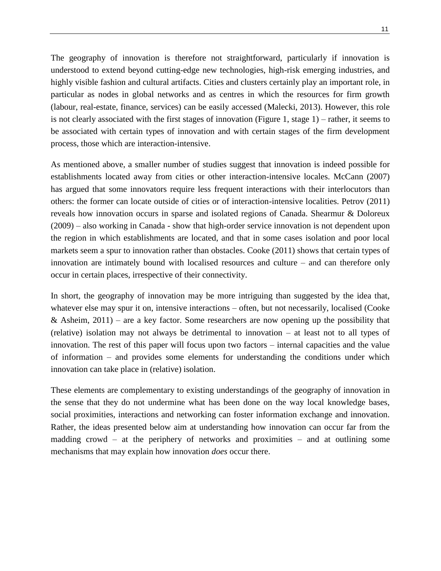The geography of innovation is therefore not straightforward, particularly if innovation is understood to extend beyond cutting-edge new technologies, high-risk emerging industries, and highly visible fashion and cultural artifacts. Cities and clusters certainly play an important role, in particular as nodes in global networks and as centres in which the resources for firm growth (labour, real-estate, finance, services) can be easily accessed (Malecki, 2013). However, this role is not clearly associated with the first stages of innovation (Figure 1, stage 1) – rather, it seems to be associated with certain types of innovation and with certain stages of the firm development process, those which are interaction-intensive.

As mentioned above, a smaller number of studies suggest that innovation is indeed possible for establishments located away from cities or other interaction-intensive locales. McCann (2007) has argued that some innovators require less frequent interactions with their interlocutors than others: the former can locate outside of cities or of interaction-intensive localities. Petrov (2011) reveals how innovation occurs in sparse and isolated regions of Canada. Shearmur & Doloreux (2009) – also working in Canada - show that high-order service innovation is not dependent upon the region in which establishments are located, and that in some cases isolation and poor local markets seem a spur to innovation rather than obstacles. Cooke (2011) shows that certain types of innovation are intimately bound with localised resources and culture – and can therefore only occur in certain places, irrespective of their connectivity.

In short, the geography of innovation may be more intriguing than suggested by the idea that, whatever else may spur it on, intensive interactions – often, but not necessarily, localised (Cooke & Asheim,  $2011$ ) – are a key factor. Some researchers are now opening up the possibility that (relative) isolation may not always be detrimental to innovation – at least not to all types of innovation. The rest of this paper will focus upon two factors – internal capacities and the value of information – and provides some elements for understanding the conditions under which innovation can take place in (relative) isolation.

These elements are complementary to existing understandings of the geography of innovation in the sense that they do not undermine what has been done on the way local knowledge bases, social proximities, interactions and networking can foster information exchange and innovation. Rather, the ideas presented below aim at understanding how innovation can occur far from the madding crowd – at the periphery of networks and proximities – and at outlining some mechanisms that may explain how innovation *does* occur there.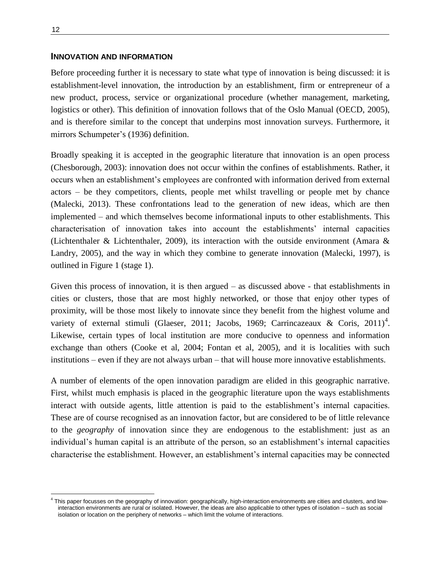#### **INNOVATION AND INFORMATION**

Before proceeding further it is necessary to state what type of innovation is being discussed: it is establishment-level innovation, the introduction by an establishment, firm or entrepreneur of a new product, process, service or organizational procedure (whether management, marketing, logistics or other). This definition of innovation follows that of the Oslo Manual (OECD, 2005), and is therefore similar to the concept that underpins most innovation surveys. Furthermore, it mirrors Schumpeter's (1936) definition.

Broadly speaking it is accepted in the geographic literature that innovation is an open process (Chesborough, 2003): innovation does not occur within the confines of establishments. Rather, it occurs when an establishment's employees are confronted with information derived from external actors – be they competitors, clients, people met whilst travelling or people met by chance (Malecki, 2013). These confrontations lead to the generation of new ideas, which are then implemented – and which themselves become informational inputs to other establishments. This characterisation of innovation takes into account the establishments' internal capacities (Lichtenthaler & Lichtenthaler, 2009), its interaction with the outside environment (Amara & Landry, 2005), and the way in which they combine to generate innovation (Malecki, 1997), is outlined in Figure 1 (stage 1).

Given this process of innovation, it is then argued – as discussed above - that establishments in cities or clusters, those that are most highly networked, or those that enjoy other types of proximity, will be those most likely to innovate since they benefit from the highest volume and variety of external stimuli (Glaeser, 2011; Jacobs, 1969; Carrincazeaux & Coris, 2011)<sup>4</sup>. Likewise, certain types of local institution are more conducive to openness and information exchange than others (Cooke et al, 2004; Fontan et al, 2005), and it is localities with such institutions – even if they are not always urban – that will house more innovative establishments.

A number of elements of the open innovation paradigm are elided in this geographic narrative. First, whilst much emphasis is placed in the geographic literature upon the ways establishments interact with outside agents, little attention is paid to the establishment's internal capacities. These are of course recognised as an innovation factor, but are considered to be of little relevance to the *geography* of innovation since they are endogenous to the establishment: just as an individual's human capital is an attribute of the person, so an establishment's internal capacities characterise the establishment. However, an establishment's internal capacities may be connected

 $\overline{a}$ 

<sup>&</sup>lt;sup>4</sup> This paper focusses on the geography of innovation: geographically, high-interaction environments are cities and clusters, and lowinteraction environments are rural or isolated. However, the ideas are also applicable to other types of isolation – such as social isolation or location on the periphery of networks – which limit the volume of interactions.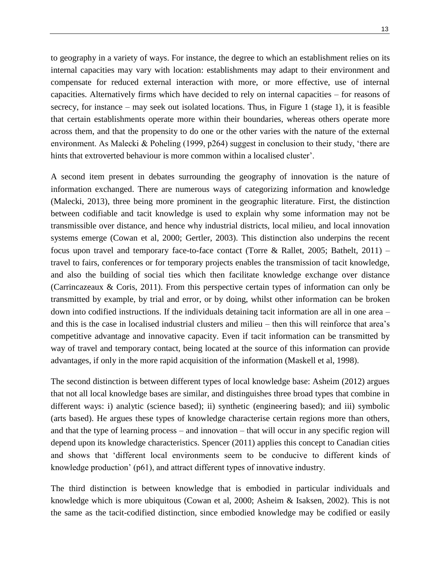to geography in a variety of ways. For instance, the degree to which an establishment relies on its internal capacities may vary with location: establishments may adapt to their environment and compensate for reduced external interaction with more, or more effective, use of internal capacities. Alternatively firms which have decided to rely on internal capacities – for reasons of secrecy, for instance – may seek out isolated locations. Thus, in Figure 1 (stage 1), it is feasible that certain establishments operate more within their boundaries, whereas others operate more across them, and that the propensity to do one or the other varies with the nature of the external environment. As Malecki & Poheling (1999, p264) suggest in conclusion to their study, 'there are hints that extroverted behaviour is more common within a localised cluster'.

A second item present in debates surrounding the geography of innovation is the nature of information exchanged. There are numerous ways of categorizing information and knowledge (Malecki, 2013), three being more prominent in the geographic literature. First, the distinction between codifiable and tacit knowledge is used to explain why some information may not be transmissible over distance, and hence why industrial districts, local milieu, and local innovation systems emerge (Cowan et al, 2000; Gertler, 2003). This distinction also underpins the recent focus upon travel and temporary face-to-face contact (Torre & Rallet, 2005; Bathelt, 2011) – travel to fairs, conferences or for temporary projects enables the transmission of tacit knowledge, and also the building of social ties which then facilitate knowledge exchange over distance (Carrincazeaux & Coris, 2011). From this perspective certain types of information can only be transmitted by example, by trial and error, or by doing, whilst other information can be broken down into codified instructions. If the individuals detaining tacit information are all in one area – and this is the case in localised industrial clusters and milieu – then this will reinforce that area's competitive advantage and innovative capacity. Even if tacit information can be transmitted by way of travel and temporary contact, being located at the source of this information can provide advantages, if only in the more rapid acquisition of the information (Maskell et al, 1998).

The second distinction is between different types of local knowledge base: Asheim (2012) argues that not all local knowledge bases are similar, and distinguishes three broad types that combine in different ways: i) analytic (science based); ii) synthetic (engineering based); and iii) symbolic (arts based). He argues these types of knowledge characterise certain regions more than others, and that the type of learning process – and innovation – that will occur in any specific region will depend upon its knowledge characteristics. Spencer (2011) applies this concept to Canadian cities and shows that 'different local environments seem to be conducive to different kinds of knowledge production' (p61), and attract different types of innovative industry.

The third distinction is between knowledge that is embodied in particular individuals and knowledge which is more ubiquitous (Cowan et al, 2000; Asheim & Isaksen, 2002). This is not the same as the tacit-codified distinction, since embodied knowledge may be codified or easily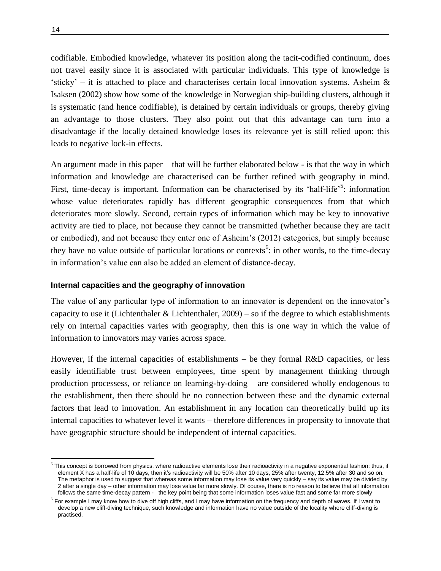codifiable. Embodied knowledge, whatever its position along the tacit-codified continuum, does not travel easily since it is associated with particular individuals. This type of knowledge is 'sticky' – it is attached to place and characterises certain local innovation systems. Asheim  $\&$ Isaksen (2002) show how some of the knowledge in Norwegian ship-building clusters, although it is systematic (and hence codifiable), is detained by certain individuals or groups, thereby giving an advantage to those clusters. They also point out that this advantage can turn into a disadvantage if the locally detained knowledge loses its relevance yet is still relied upon: this leads to negative lock-in effects.

An argument made in this paper – that will be further elaborated below - is that the way in which information and knowledge are characterised can be further refined with geography in mind. First, time-decay is important. Information can be characterised by its 'half-life'<sup>5</sup>: information whose value deteriorates rapidly has different geographic consequences from that which deteriorates more slowly. Second, certain types of information which may be key to innovative activity are tied to place, not because they cannot be transmitted (whether because they are tacit or embodied), and not because they enter one of Asheim's (2012) categories, but simply because they have no value outside of particular locations or contexts<sup>6</sup>: in other words, to the time-decay in information's value can also be added an element of distance-decay.

#### **Internal capacities and the geography of innovation**

The value of any particular type of information to an innovator is dependent on the innovator's capacity to use it (Lichtenthaler & Lichtenthaler,  $2009$ ) – so if the degree to which establishments rely on internal capacities varies with geography, then this is one way in which the value of information to innovators may varies across space.

However, if the internal capacities of establishments – be they formal R&D capacities, or less easily identifiable trust between employees, time spent by management thinking through production processess, or reliance on learning-by-doing – are considered wholly endogenous to the establishment, then there should be no connection between these and the dynamic external factors that lead to innovation. An establishment in any location can theoretically build up its internal capacities to whatever level it wants – therefore differences in propensity to innovate that have geographic structure should be independent of internal capacities.

 $\overline{a}$ 

<sup>&</sup>lt;sup>5</sup> This concept is borrowed from physics, where radioactive elements lose their radioactivity in a negative exponential fashion: thus, if element X has a half-life of 10 days, then it's radioactivity will be 50% after 10 days, 25% after twenty, 12.5% after 30 and so on. The metaphor is used to suggest that whereas some information may lose its value very quickly – say its value may be divided by 2 after a single day – other information may lose value far more slowly. Of course, there is no reason to believe that all information follows the same time-decay pattern - the key point being that some information loses value fast and some far more slowly

<sup>&</sup>lt;sup>6</sup> For example I may know how to dive off high cliffs, and I may have information on the frequency and depth of waves. If I want to develop a new cliff-diving technique, such knowledge and information have no value outside of the locality where cliff-diving is practised.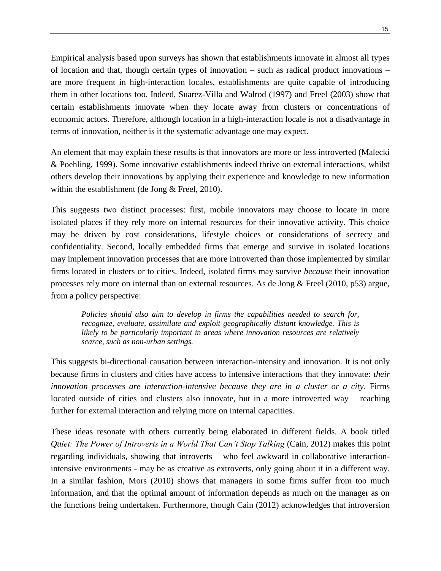Empirical analysis based upon surveys has shown that establishments innovate in almost all types of location and that, though certain types of innovation – such as radical product innovations – are more frequent in high-interaction locales, establishments are quite capable of introducing them in other locations too. Indeed, Suarez-Villa and Walrod (1997) and Freel (2003) show that certain establishments innovate when they locate away from clusters or concentrations of economic actors. Therefore, although location in a high-interaction locale is not a disadvantage in terms of innovation, neither is it the systematic advantage one may expect.

An element that may explain these results is that innovators are more or less introverted (Malecki & Poehling, 1999). Some innovative establishments indeed thrive on external interactions, whilst others develop their innovations by applying their experience and knowledge to new information within the establishment (de Jong & Freel, 2010).

This suggests two distinct processes: first, mobile innovators may choose to locate in more isolated places if they rely more on internal resources for their innovative activity. This choice may be driven by cost considerations, lifestyle choices or considerations of secrecy and confidentiality. Second, locally embedded firms that emerge and survive in isolated locations may implement innovation processes that are more introverted than those implemented by similar firms located in clusters or to cities. Indeed, isolated firms may survive *because* their innovation processes rely more on internal than on external resources. As de Jong & Freel (2010, p53) argue, from a policy perspective:

*Policies should also aim to develop in firms the capabilities needed to search for, recognize, evaluate, assimilate and exploit geographically distant knowledge. This is likely to be particularly important in areas where innovation resources are relatively scarce, such as non-urban settings.*

This suggests bi-directional causation between interaction-intensity and innovation. It is not only because firms in clusters and cities have access to intensive interactions that they innovate: *their innovation processes are interaction-intensive because they are in a cluster or a city*. Firms located outside of cities and clusters also innovate, but in a more introverted way – reaching further for external interaction and relying more on internal capacities.

These ideas resonate with others currently being elaborated in different fields. A book titled *Quiet: The Power of Introverts in a World That Can't Stop Talking* (Cain, 2012) makes this point regarding individuals, showing that introverts – who feel awkward in collaborative interactionintensive environments - may be as creative as extroverts, only going about it in a different way. In a similar fashion, Mors (2010) shows that managers in some firms suffer from too much information, and that the optimal amount of information depends as much on the manager as on the functions being undertaken. Furthermore, though Cain (2012) acknowledges that introversion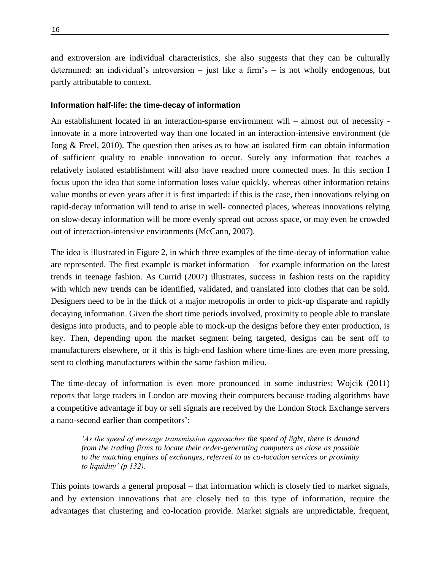and extroversion are individual characteristics, she also suggests that they can be culturally determined: an individual's introversion – just like a firm's – is not wholly endogenous, but partly attributable to context.

#### **Information half-life: the time-decay of information**

An establishment located in an interaction-sparse environment will – almost out of necessity innovate in a more introverted way than one located in an interaction-intensive environment (de Jong & Freel, 2010). The question then arises as to how an isolated firm can obtain information of sufficient quality to enable innovation to occur. Surely any information that reaches a relatively isolated establishment will also have reached more connected ones. In this section I focus upon the idea that some information loses value quickly, whereas other information retains value months or even years after it is first imparted: if this is the case, then innovations relying on rapid-decay information will tend to arise in well- connected places, whereas innovations relying on slow-decay information will be more evenly spread out across space, or may even be crowded out of interaction-intensive environments (McCann, 2007).

The idea is illustrated in Figure 2, in which three examples of the time-decay of information value are represented. The first example is market information – for example information on the latest trends in teenage fashion. As Currid (2007) illustrates, success in fashion rests on the rapidity with which new trends can be identified, validated, and translated into clothes that can be sold. Designers need to be in the thick of a major metropolis in order to pick-up disparate and rapidly decaying information. Given the short time periods involved, proximity to people able to translate designs into products, and to people able to mock-up the designs before they enter production, is key. Then, depending upon the market segment being targeted, designs can be sent off to manufacturers elsewhere, or if this is high-end fashion where time-lines are even more pressing, sent to clothing manufacturers within the same fashion milieu.

The time-decay of information is even more pronounced in some industries: Wojcik (2011) reports that large traders in London are moving their computers because trading algorithms have a competitive advantage if buy or sell signals are received by the London Stock Exchange servers a nano-second earlier than competitors':

*'As the speed of message transmission approaches the speed of light, there is demand from the trading firms to locate their order-generating computers as close as possible to the matching engines of exchanges, referred to as co-location services or proximity to liquidity' (p 132).*

This points towards a general proposal – that information which is closely tied to market signals, and by extension innovations that are closely tied to this type of information, require the advantages that clustering and co-location provide. Market signals are unpredictable, frequent,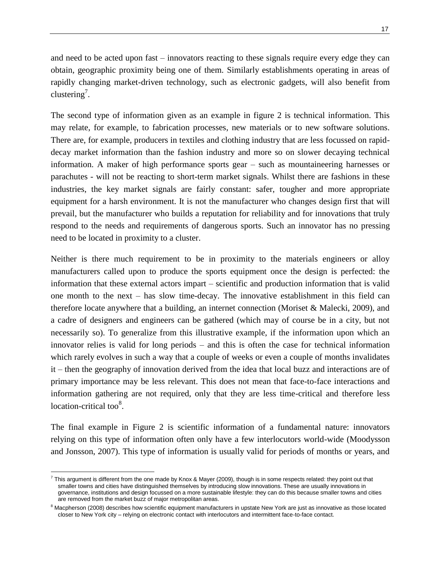and need to be acted upon fast – innovators reacting to these signals require every edge they can obtain, geographic proximity being one of them. Similarly establishments operating in areas of rapidly changing market-driven technology, such as electronic gadgets, will also benefit from clustering<sup>7</sup>.

The second type of information given as an example in figure 2 is technical information. This may relate, for example, to fabrication processes, new materials or to new software solutions. There are, for example, producers in textiles and clothing industry that are less focussed on rapiddecay market information than the fashion industry and more so on slower decaying technical information. A maker of high performance sports gear – such as mountaineering harnesses or parachutes - will not be reacting to short-term market signals. Whilst there are fashions in these industries, the key market signals are fairly constant: safer, tougher and more appropriate equipment for a harsh environment. It is not the manufacturer who changes design first that will prevail, but the manufacturer who builds a reputation for reliability and for innovations that truly respond to the needs and requirements of dangerous sports. Such an innovator has no pressing need to be located in proximity to a cluster.

Neither is there much requirement to be in proximity to the materials engineers or alloy manufacturers called upon to produce the sports equipment once the design is perfected: the information that these external actors impart – scientific and production information that is valid one month to the next – has slow time-decay. The innovative establishment in this field can therefore locate anywhere that a building, an internet connection (Moriset & Malecki, 2009), and a cadre of designers and engineers can be gathered (which may of course be in a city, but not necessarily so). To generalize from this illustrative example, if the information upon which an innovator relies is valid for long periods – and this is often the case for technical information which rarely evolves in such a way that a couple of weeks or even a couple of months invalidates it – then the geography of innovation derived from the idea that local buzz and interactions are of primary importance may be less relevant. This does not mean that face-to-face interactions and information gathering are not required, only that they are less time-critical and therefore less location-critical too $8$ .

The final example in Figure 2 is scientific information of a fundamental nature: innovators relying on this type of information often only have a few interlocutors world-wide (Moodysson and Jonsson, 2007). This type of information is usually valid for periods of months or years, and

 $\overline{a}$ 

 $^7$  This argument is different from the one made by Knox & Mayer (2009), though is in some respects related: they point out that smaller towns and cities have distinguished themselves by introducing slow innovations. These are usually innovations in governance, institutions and design focussed on a more sustainable lifestyle: they can do this because smaller towns and cities are removed from the market buzz of major metropolitan areas.

<sup>&</sup>lt;sup>8</sup> Macpherson (2008) describes how scientific equipment manufacturers in upstate New York are just as innovative as those located closer to New York city – relying on electronic contact with interlocutors and intermittent face-to-face contact.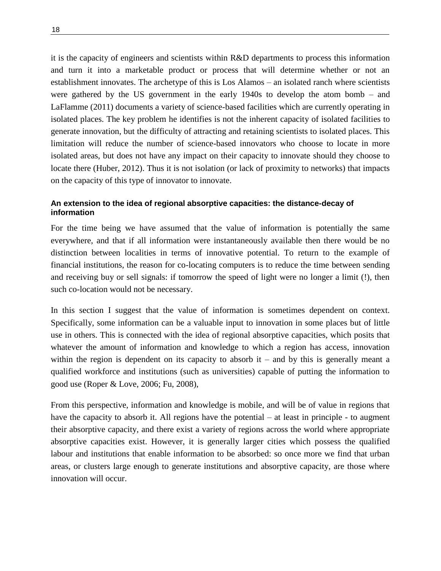it is the capacity of engineers and scientists within R&D departments to process this information and turn it into a marketable product or process that will determine whether or not an establishment innovates. The archetype of this is Los Alamos – an isolated ranch where scientists were gathered by the US government in the early 1940s to develop the atom bomb – and LaFlamme (2011) documents a variety of science-based facilities which are currently operating in isolated places. The key problem he identifies is not the inherent capacity of isolated facilities to generate innovation, but the difficulty of attracting and retaining scientists to isolated places. This limitation will reduce the number of science-based innovators who choose to locate in more isolated areas, but does not have any impact on their capacity to innovate should they choose to locate there (Huber, 2012). Thus it is not isolation (or lack of proximity to networks) that impacts on the capacity of this type of innovator to innovate.

### **An extension to the idea of regional absorptive capacities: the distance-decay of information**

For the time being we have assumed that the value of information is potentially the same everywhere, and that if all information were instantaneously available then there would be no distinction between localities in terms of innovative potential. To return to the example of financial institutions, the reason for co-locating computers is to reduce the time between sending and receiving buy or sell signals: if tomorrow the speed of light were no longer a limit (!), then such co-location would not be necessary.

In this section I suggest that the value of information is sometimes dependent on context. Specifically, some information can be a valuable input to innovation in some places but of little use in others. This is connected with the idea of regional absorptive capacities, which posits that whatever the amount of information and knowledge to which a region has access, innovation within the region is dependent on its capacity to absorb  $it -$  and by this is generally meant a qualified workforce and institutions (such as universities) capable of putting the information to good use (Roper & Love, 2006; Fu, 2008),

From this perspective, information and knowledge is mobile, and will be of value in regions that have the capacity to absorb it. All regions have the potential – at least in principle - to augment their absorptive capacity, and there exist a variety of regions across the world where appropriate absorptive capacities exist. However, it is generally larger cities which possess the qualified labour and institutions that enable information to be absorbed: so once more we find that urban areas, or clusters large enough to generate institutions and absorptive capacity, are those where innovation will occur.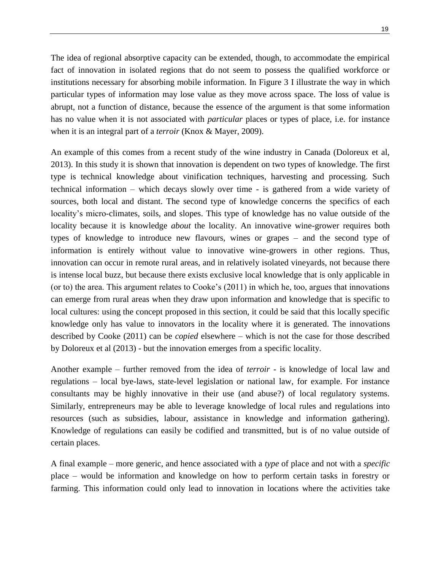The idea of regional absorptive capacity can be extended, though, to accommodate the empirical fact of innovation in isolated regions that do not seem to possess the qualified workforce or institutions necessary for absorbing mobile information. In Figure 3 I illustrate the way in which particular types of information may lose value as they move across space. The loss of value is abrupt, not a function of distance, because the essence of the argument is that some information has no value when it is not associated with *particular* places or types of place, i.e. for instance when it is an integral part of a *terroir* (Knox & Mayer, 2009).

An example of this comes from a recent study of the wine industry in Canada (Doloreux et al, 2013). In this study it is shown that innovation is dependent on two types of knowledge. The first type is technical knowledge about vinification techniques, harvesting and processing. Such technical information – which decays slowly over time - is gathered from a wide variety of sources, both local and distant. The second type of knowledge concerns the specifics of each locality's micro-climates, soils, and slopes. This type of knowledge has no value outside of the locality because it is knowledge *about* the locality. An innovative wine-grower requires both types of knowledge to introduce new flavours, wines or grapes – and the second type of information is entirely without value to innovative wine-growers in other regions. Thus, innovation can occur in remote rural areas, and in relatively isolated vineyards, not because there is intense local buzz, but because there exists exclusive local knowledge that is only applicable in (or to) the area. This argument relates to Cooke's (2011) in which he, too, argues that innovations can emerge from rural areas when they draw upon information and knowledge that is specific to local cultures: using the concept proposed in this section, it could be said that this locally specific knowledge only has value to innovators in the locality where it is generated. The innovations described by Cooke (2011) can be *copied* elsewhere – which is not the case for those described by Doloreux et al (2013) - but the innovation emerges from a specific locality.

Another example – further removed from the idea of *terroir* - is knowledge of local law and regulations – local bye-laws, state-level legislation or national law, for example. For instance consultants may be highly innovative in their use (and abuse?) of local regulatory systems. Similarly, entrepreneurs may be able to leverage knowledge of local rules and regulations into resources (such as subsidies, labour, assistance in knowledge and information gathering). Knowledge of regulations can easily be codified and transmitted, but is of no value outside of certain places.

A final example – more generic, and hence associated with a *type* of place and not with a *specific* place – would be information and knowledge on how to perform certain tasks in forestry or farming. This information could only lead to innovation in locations where the activities take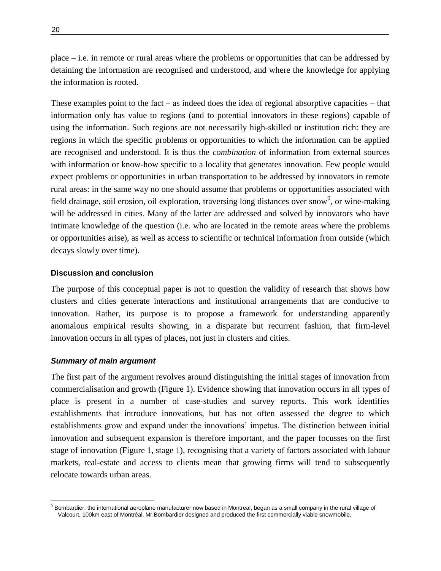place – i.e. in remote or rural areas where the problems or opportunities that can be addressed by detaining the information are recognised and understood, and where the knowledge for applying the information is rooted.

These examples point to the fact – as indeed does the idea of regional absorptive capacities – that information only has value to regions (and to potential innovators in these regions) capable of using the information. Such regions are not necessarily high-skilled or institution rich: they are regions in which the specific problems or opportunities to which the information can be applied are recognised and understood. It is thus the *combination* of information from external sources with information or know-how specific to a locality that generates innovation. Few people would expect problems or opportunities in urban transportation to be addressed by innovators in remote rural areas: in the same way no one should assume that problems or opportunities associated with field drainage, soil erosion, oil exploration, traversing long distances over snow<sup>9</sup>, or wine-making will be addressed in cities. Many of the latter are addressed and solved by innovators who have intimate knowledge of the question (i.e. who are located in the remote areas where the problems or opportunities arise), as well as access to scientific or technical information from outside (which decays slowly over time).

#### **Discussion and conclusion**

The purpose of this conceptual paper is not to question the validity of research that shows how clusters and cities generate interactions and institutional arrangements that are conducive to innovation. Rather, its purpose is to propose a framework for understanding apparently anomalous empirical results showing, in a disparate but recurrent fashion, that firm-level innovation occurs in all types of places, not just in clusters and cities.

#### *Summary of main argument*

 $\overline{a}$ 

The first part of the argument revolves around distinguishing the initial stages of innovation from commercialisation and growth (Figure 1). Evidence showing that innovation occurs in all types of place is present in a number of case-studies and survey reports. This work identifies establishments that introduce innovations, but has not often assessed the degree to which establishments grow and expand under the innovations' impetus. The distinction between initial innovation and subsequent expansion is therefore important, and the paper focusses on the first stage of innovation (Figure 1, stage 1), recognising that a variety of factors associated with labour markets, real-estate and access to clients mean that growing firms will tend to subsequently relocate towards urban areas.

 $^9$  Bombardier, the international aeroplane manufacturer now based in Montreal, began as a small company in the rural village of Valcourt, 100km east of Montréal. Mr.Bombardier designed and produced the first commercially viable snowmobile.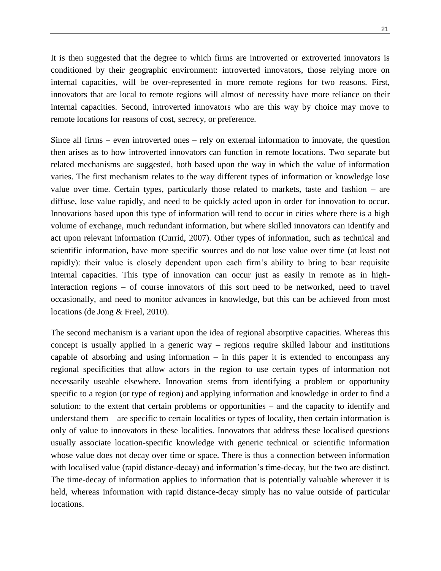It is then suggested that the degree to which firms are introverted or extroverted innovators is conditioned by their geographic environment: introverted innovators, those relying more on internal capacities, will be over-represented in more remote regions for two reasons. First, innovators that are local to remote regions will almost of necessity have more reliance on their internal capacities. Second, introverted innovators who are this way by choice may move to remote locations for reasons of cost, secrecy, or preference.

Since all firms – even introverted ones – rely on external information to innovate, the question then arises as to how introverted innovators can function in remote locations. Two separate but related mechanisms are suggested, both based upon the way in which the value of information varies. The first mechanism relates to the way different types of information or knowledge lose value over time. Certain types, particularly those related to markets, taste and fashion – are diffuse, lose value rapidly, and need to be quickly acted upon in order for innovation to occur. Innovations based upon this type of information will tend to occur in cities where there is a high volume of exchange, much redundant information, but where skilled innovators can identify and act upon relevant information (Currid, 2007). Other types of information, such as technical and scientific information, have more specific sources and do not lose value over time (at least not rapidly): their value is closely dependent upon each firm's ability to bring to bear requisite internal capacities. This type of innovation can occur just as easily in remote as in highinteraction regions – of course innovators of this sort need to be networked, need to travel occasionally, and need to monitor advances in knowledge, but this can be achieved from most locations (de Jong & Freel, 2010).

The second mechanism is a variant upon the idea of regional absorptive capacities. Whereas this concept is usually applied in a generic way – regions require skilled labour and institutions capable of absorbing and using information  $-$  in this paper it is extended to encompass any regional specificities that allow actors in the region to use certain types of information not necessarily useable elsewhere. Innovation stems from identifying a problem or opportunity specific to a region (or type of region) and applying information and knowledge in order to find a solution: to the extent that certain problems or opportunities – and the capacity to identify and understand them – are specific to certain localities or types of locality, then certain information is only of value to innovators in these localities. Innovators that address these localised questions usually associate location-specific knowledge with generic technical or scientific information whose value does not decay over time or space. There is thus a connection between information with localised value (rapid distance-decay) and information's time-decay, but the two are distinct. The time-decay of information applies to information that is potentially valuable wherever it is held, whereas information with rapid distance-decay simply has no value outside of particular locations.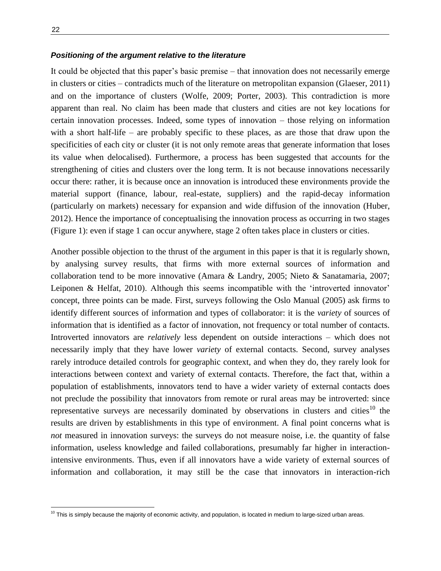$\overline{a}$ 

#### *Positioning of the argument relative to the literature*

It could be objected that this paper's basic premise – that innovation does not necessarily emerge in clusters or cities – contradicts much of the literature on metropolitan expansion (Glaeser, 2011) and on the importance of clusters (Wolfe, 2009; Porter, 2003). This contradiction is more apparent than real. No claim has been made that clusters and cities are not key locations for certain innovation processes. Indeed, some types of innovation – those relying on information with a short half-life – are probably specific to these places, as are those that draw upon the specificities of each city or cluster (it is not only remote areas that generate information that loses its value when delocalised). Furthermore, a process has been suggested that accounts for the strengthening of cities and clusters over the long term. It is not because innovations necessarily occur there: rather, it is because once an innovation is introduced these environments provide the material support (finance, labour, real-estate, suppliers) and the rapid-decay information (particularly on markets) necessary for expansion and wide diffusion of the innovation (Huber, 2012). Hence the importance of conceptualising the innovation process as occurring in two stages (Figure 1): even if stage 1 can occur anywhere, stage 2 often takes place in clusters or cities.

Another possible objection to the thrust of the argument in this paper is that it is regularly shown, by analysing survey results, that firms with more external sources of information and collaboration tend to be more innovative (Amara & Landry, 2005; Nieto & Sanatamaria, 2007; Leiponen & Helfat, 2010). Although this seems incompatible with the 'introverted innovator' concept, three points can be made. First, surveys following the Oslo Manual (2005) ask firms to identify different sources of information and types of collaborator: it is the *variety* of sources of information that is identified as a factor of innovation, not frequency or total number of contacts. Introverted innovators are *relatively* less dependent on outside interactions – which does not necessarily imply that they have lower *variety* of external contacts. Second, survey analyses rarely introduce detailed controls for geographic context, and when they do, they rarely look for interactions between context and variety of external contacts. Therefore, the fact that, within a population of establishments, innovators tend to have a wider variety of external contacts does not preclude the possibility that innovators from remote or rural areas may be introverted: since representative surveys are necessarily dominated by observations in clusters and cities<sup>10</sup> the results are driven by establishments in this type of environment. A final point concerns what is *not* measured in innovation surveys: the surveys do not measure noise, i.e. the quantity of false information, useless knowledge and failed collaborations, presumably far higher in interactionintensive environments. Thus, even if all innovators have a wide variety of external sources of information and collaboration, it may still be the case that innovators in interaction-rich

 $10$  This is simply because the majority of economic activity, and population, is located in medium to large-sized urban areas.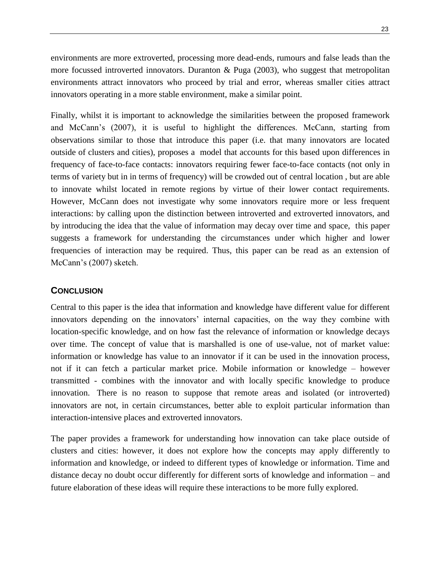environments are more extroverted, processing more dead-ends, rumours and false leads than the more focussed introverted innovators. Duranton  $\&$  Puga (2003), who suggest that metropolitan environments attract innovators who proceed by trial and error, whereas smaller cities attract innovators operating in a more stable environment, make a similar point.

Finally, whilst it is important to acknowledge the similarities between the proposed framework and McCann's (2007), it is useful to highlight the differences. McCann, starting from observations similar to those that introduce this paper (i.e. that many innovators are located outside of clusters and cities), proposes a model that accounts for this based upon differences in frequency of face-to-face contacts: innovators requiring fewer face-to-face contacts (not only in terms of variety but in in terms of frequency) will be crowded out of central location , but are able to innovate whilst located in remote regions by virtue of their lower contact requirements. However, McCann does not investigate why some innovators require more or less frequent interactions: by calling upon the distinction between introverted and extroverted innovators, and by introducing the idea that the value of information may decay over time and space, this paper suggests a framework for understanding the circumstances under which higher and lower frequencies of interaction may be required. Thus, this paper can be read as an extension of McCann's (2007) sketch.

## **CONCLUSION**

Central to this paper is the idea that information and knowledge have different value for different innovators depending on the innovators' internal capacities, on the way they combine with location-specific knowledge, and on how fast the relevance of information or knowledge decays over time. The concept of value that is marshalled is one of use-value, not of market value: information or knowledge has value to an innovator if it can be used in the innovation process, not if it can fetch a particular market price. Mobile information or knowledge – however transmitted - combines with the innovator and with locally specific knowledge to produce innovation. There is no reason to suppose that remote areas and isolated (or introverted) innovators are not, in certain circumstances, better able to exploit particular information than interaction-intensive places and extroverted innovators.

The paper provides a framework for understanding how innovation can take place outside of clusters and cities: however, it does not explore how the concepts may apply differently to information and knowledge, or indeed to different types of knowledge or information. Time and distance decay no doubt occur differently for different sorts of knowledge and information – and future elaboration of these ideas will require these interactions to be more fully explored.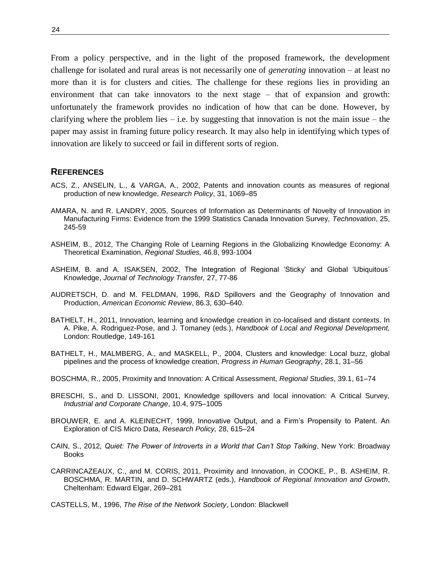From a policy perspective, and in the light of the proposed framework, the development challenge for isolated and rural areas is not necessarily one of *generating* innovation – at least no more than it is for clusters and cities. The challenge for these regions lies in providing an environment that can take innovators to the next stage – that of expansion and growth: unfortunately the framework provides no indication of how that can be done. However, by clarifying where the problem lies – i.e. by suggesting that innovation is not the main issue – the paper may assist in framing future policy research. It may also help in identifying which types of innovation are likely to succeed or fail in different sorts of region.

#### **REFERENCES**

- ACS, Z., ANSELIN, L., & VARGA, A., 2002, Patents and innovation counts as measures of regional production of new knowledge, *Research Policy*, 31, 1069–85
- AMARA, N. and R. LANDRY, 2005, Sources of Information as Determinants of Novelty of Innovation in Manufacturing Firms: Evidence from the 1999 Statistics Canada Innovation Survey, *Technovation*, 25, 245-59
- ASHEIM, B., 2012, The Changing Role of Learning Regions in the Globalizing Knowledge Economy: A Theoretical Examination, *Regional Studies,* 46.8, 993-1004
- ASHEIM, B. and A. ISAKSEN, 2002, The Integration of Regional 'Sticky' and Global 'Ubiquitous' Knowledge, *Journal of Technology Transfer,* 27, 77-86
- AUDRETSCH, D. and M. FELDMAN, 1996, R&D Spillovers and the Geography of Innovation and Production, *American Economic Review*, 86.3, 630–640.
- BATHELT, H., 2011, Innovation, learning and knowledge creation in co-localised and distant contexts. In A. Pike, A. Rodriguez-Pose, and J. Tomaney (eds.), *Handbook of Local and Regional Development,* London: Routledge, 149-161
- BATHELT, H., MALMBERG, A., and MASKELL, P., 2004, Clusters and knowledge: Local buzz, global pipelines and the process of knowledge creation, *Progress in Human Geography*, 28.1, 31–56
- BOSCHMA, R., 2005, Proximity and Innovation: A Critical Assessment, *Regional Studies*, 39.1, 61–74
- BRESCHI, S., and D. LISSONI, 2001, Knowledge spillovers and local innovation: A Critical Survey, *Industrial and Corporate Change*, 10.4, 975–1005
- BROUWER, E. and A. KLEINECHT, 1999, Innovative Output, and a Firm's Propensity to Patent. An Exploration of CIS Micro Data, *Research Policy,* 28, 615–24
- CAIN, S., 2012*, Quiet: The Power of Introverts in a World that Can't Stop Talking*, New York: Broadway Books
- CARRINCAZEAUX, C., and M. CORIS, 2011, Proximity and Innovation, in COOKE, P., B. ASHEIM, R. BOSCHMA, R. MARTIN, and D. SCHWARTZ (eds.), *Handbook of Regional Innovation and Growth*, Cheltenham: Edward Elgar, 269–281
- CASTELLS, M., 1996, *The Rise of the Network Society*, London: Blackwell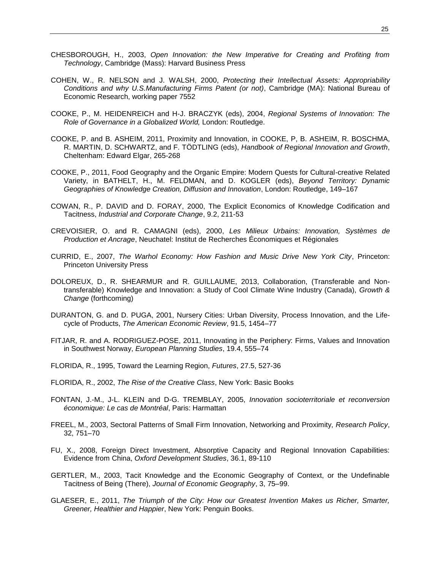- CHESBOROUGH, H., 2003, *Open Innovation: the New Imperative for Creating and Profiting from Technology*, Cambridge (Mass): Harvard Business Press
- COHEN, W., R. NELSON and J. WALSH, 2000, *Protecting their Intellectual Assets: Appropriability Conditions and why U.S.Manufacturing Firms Patent (or not)*, Cambridge (MA): National Bureau of Economic Research, working paper 7552
- COOKE, P., M. HEIDENREICH and H-J. BRACZYK (eds), 2004, *Regional Systems of Innovation: The Role of Governance in a Globalized World,* London: Routledge.
- COOKE, P. and B. ASHEIM, 2011, Proximity and Innovation, in COOKE, P, B. ASHEIM, R. BOSCHMA, R. MARTIN, D. SCHWARTZ, and F. TÖDTLING (eds), *Handbook of Regional Innovation and Growth*, Cheltenham: Edward Elgar, 265-268
- COOKE, P., 2011, Food Geography and the Organic Empire: Modern Quests for Cultural-creative Related Variety, in BATHELT, H., M. FELDMAN, and D. KOGLER (eds), *Beyond Territory: Dynamic Geographies of Knowledge Creation, Diffusion and Innovation*, London: Routledge, 149–167
- COWAN, R., P. DAVID and D. FORAY, 2000, The Explicit Economics of Knowledge Codification and Tacitness, *Industrial and Corporate Change*, 9.2, 211-53
- CREVOISIER, O. and R. CAMAGNI (eds), 2000, *Les Milieux Urbains: Innovation, Systèmes de Production et Ancrage*, Neuchatel: Institut de Recherches Économiques et Régionales
- CURRID, E., 2007, *The Warhol Economy: How Fashion and Music Drive New York City*, Princeton: Princeton University Press
- DOLOREUX, D., R. SHEARMUR and R. GUILLAUME, 2013, Collaboration, (Transferable and Nontransferable) Knowledge and Innovation: a Study of Cool Climate Wine Industry (Canada), *Growth & Change* (forthcoming)
- DURANTON, G. and D. PUGA, 2001, Nursery Cities: Urban Diversity, Process Innovation, and the Lifecycle of Products, *The American Economic Review*, 91.5, 1454–77
- FITJAR, R. and A. RODRIGUEZ-POSE, 2011, Innovating in the Periphery: Firms, Values and Innovation in Southwest Norway, *European Planning Studies*, 19.4, 555–74
- FLORIDA, R., 1995, Toward the Learning Region, *Futures*, 27.5, 527-36
- FLORIDA, R., 2002, *The Rise of the Creative Class*, New York: Basic Books
- FONTAN, J.-M., J-L. KLEIN and D-G. TREMBLAY, 2005, *Innovation socioterritoriale et reconversion économique: Le cas de Montréal*, Paris: Harmattan
- FREEL, M., 2003, Sectoral Patterns of Small Firm Innovation, Networking and Proximity, *Research Policy*, 32, 751–70
- FU, X., 2008, Foreign Direct Investment, Absorptive Capacity and Regional Innovation Capabilities: Evidence from China, *Oxford Development Studies*, 36.1, 89-110
- GERTLER, M., 2003, Tacit Knowledge and the Economic Geography of Context, or the Undefinable Tacitness of Being (There), *Journal of Economic Geography*, 3, 75–99.
- GLAESER, E., 2011, *The Triumph of the City: How our Greatest Invention Makes us Richer, Smarter, Greener, Healthier and Happier*, New York: Penguin Books.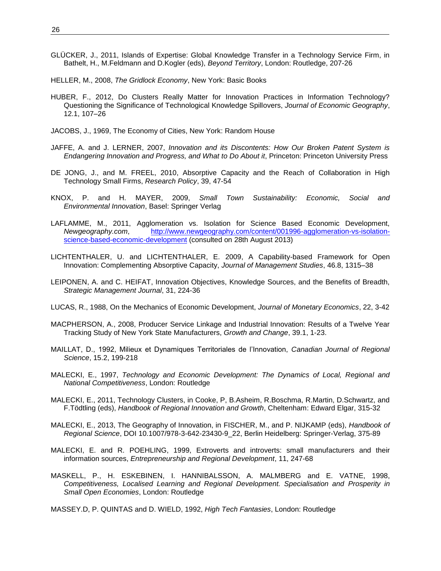- GLÜCKER, J., 2011, Islands of Expertise: Global Knowledge Transfer in a Technology Service Firm, in Bathelt, H., M.Feldmann and D.Kogler (eds), *Beyond Territory*, London: Routledge, 207-26
- HELLER, M., 2008, *The Gridlock Economy*, New York: Basic Books
- HUBER, F., 2012, Do Clusters Really Matter for Innovation Practices in Information Technology? Questioning the Significance of Technological Knowledge Spillovers, *Journal of Economic Geography*, 12.1, 107–26
- JACOBS, J., 1969, The Economy of Cities, New York: Random House
- JAFFE, A. and J. LERNER, 2007, *Innovation and its Discontents: How Our Broken Patent System is Endangering Innovation and Progress, and What to Do About it*, Princeton: Princeton University Press
- DE JONG, J., and M. FREEL, 2010, Absorptive Capacity and the Reach of Collaboration in High Technology Small Firms, *Research Policy*, 39, 47-54
- KNOX, P. and H. MAYER, 2009, *Small Town Sustainability: Economic, Social and Environmental Innovation*, Basel: Springer Verlag
- LAFLAMME, M., 2011, Agglomeration vs. Isolation for Science Based Economic Development, *Newgeography.com*, [http://www.newgeography.com/content/001996-agglomeration-vs-isolation](http://www.newgeography.com/content/001996-agglomeration-vs-isolation-science-based-economic-development)[science-based-economic-development](http://www.newgeography.com/content/001996-agglomeration-vs-isolation-science-based-economic-development) (consulted on 28th August 2013)
- LICHTENTHALER, U. and LICHTENTHALER, E. 2009, A Capability-based Framework for Open Innovation: Complementing Absorptive Capacity, *Journal of Management Studies*, 46.8, 1315–38
- LEIPONEN, A. and C. HEIFAT, Innovation Objectives, Knowledge Sources, and the Benefits of Breadth, *Strategic Management Journal*, 31, 224-36
- LUCAS, R., 1988, On the Mechanics of Economic Development, *Journal of Monetary Economics*, 22, 3-42
- MACPHERSON, A., 2008, Producer Service Linkage and Industrial Innovation: Results of a Twelve Year Tracking Study of New York State Manufacturers, *Growth and Change*, 39.1, 1-23.
- MAILLAT, D., 1992, Milieux et Dynamiques Territoriales de l'Innovation, *Canadian Journal of Regional Science*, 15.2, 199-218
- MALECKI, E., 1997, *Technology and Economic Development: The Dynamics of Local, Regional and National Competitiveness*, London: Routledge
- MALECKI, E., 2011, Technology Clusters, in Cooke, P, B.Asheim, R.Boschma, R.Martin, D.Schwartz, and F.Tödtling (eds), *Handbook of Regional Innovation and Growth*, Cheltenham: Edward Elgar, 315-32
- MALECKI, E., 2013, The Geography of Innovation, in FISCHER, M., and P. NIJKAMP (eds), *Handbook of Regional Science*, DOI 10.1007/978-3-642-23430-9\_22, Berlin Heidelberg: Springer-Verlag, 375-89
- MALECKI, E. and R. POEHLING, 1999, Extroverts and introverts: small manufacturers and their information sources, *Entrepreneurship and Regional Development*, 11, 247-68
- MASKELL, P., H. ESKEBINEN, I. HANNIBALSSON, A. MALMBERG and E. VATNE, 1998, *Competitiveness, Localised Learning and Regional Development. Specialisation and Prosperity in Small Open Economies*, London: Routledge

MASSEY.D, P. QUINTAS and D. WIELD, 1992, *High Tech Fantasies*, London: Routledge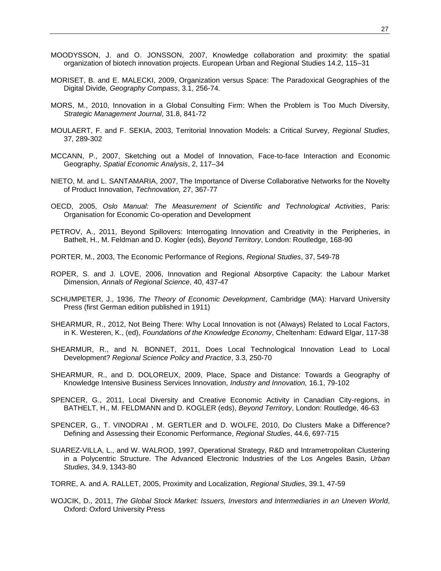- MOODYSSON, J. and O. JONSSON, 2007, Knowledge collaboration and proximity: the spatial
- MORISET, B. and E. MALECKI, 2009, Organization versus Space: The Paradoxical Geographies of the Digital Divide, *Geography Compass*, 3.1, 256-74.

organization of biotech innovation projects. European Urban and Regional Studies 14.2, 115–31

- MORS, M., 2010, Innovation in a Global Consulting Firm: When the Problem is Too Much Diversity, *Strategic Management Journal*, 31.8, 841-72
- MOULAERT, F. and F. SEKIA, 2003, Territorial Innovation Models: a Critical Survey, *Regional Studies*, 37, 289-302
- MCCANN, P., 2007, Sketching out a Model of Innovation, Face-to-face Interaction and Economic Geography, *Spatial Economic Analysis*, 2, 117–34
- NIETO, M. and L. SANTAMARIA, 2007, The Importance of Diverse Collaborative Networks for the Novelty of Product Innovation, *Technovation,* 27, 367-77
- OECD, 2005, *Oslo Manual: The Measurement of Scientific and Technological Activities*, Paris: Organisation for Economic Co-operation and Development
- PETROV, A., 2011, Beyond Spillovers: Interrogating Innovation and Creativity in the Peripheries, in Bathelt, H., M. Feldman and D. Kogler (eds), *Beyond Territory*, London: Routledge, 168-90
- PORTER, M., 2003, The Economic Performance of Regions, *Regional Studies*, 37, 549-78
- ROPER, S. and J. LOVE, 2006, Innovation and Regional Absorptive Capacity: the Labour Market Dimension, *Annals of Regional Science*, 40, 437-47
- SCHUMPETER, J., 1936, *The Theory of Economic Development*, Cambridge (MA): Harvard University Press (first German edition published in 1911)
- SHEARMUR, R., 2012, Not Being There: Why Local Innovation is not (Always) Related to Local Factors, in K. Westeren, K., (ed), *Foundations of the Knowledge Economy*, Cheltenham: Edward Elgar, 117-38
- SHEARMUR, R., and N. BONNET, 2011, Does Local Technological Innovation Lead to Local Development? *Regional Science Policy and Practice*, 3.3, 250-70
- SHEARMUR, R., and D. DOLOREUX, 2009, Place, Space and Distance: Towards a Geography of Knowledge Intensive Business Services Innovation, *Industry and Innovation,* 16.1, 79-102
- SPENCER, G., 2011, Local Diversity and Creative Economic Activity in Canadian City-regions, in BATHELT, H., M. FELDMANN and D. KOGLER (eds), *Beyond Territory*, London: Routledge, 46-63
- SPENCER, G., T. VINODRAI , M. GERTLER and D. WOLFE, 2010, Do Clusters Make a Difference? Defining and Assessing their Economic Performance, *Regional Studies*, 44.6, 697-715
- SUAREZ-VILLA, L., and W. WALROD, 1997, Operational Strategy, R&D and Intrametropolitan Clustering in a Polycentric Structure. The Advanced Electronic Industries of the Los Angeles Basin, *Urban Studies*, 34.9, 1343-80
- TORRE, A. and A. RALLET, 2005, Proximity and Localization, *Regional Studies*, 39.1, 47-59
- WOJCIK, D., 2011, *The Global Stock Market: Issuers, Investors and Intermediaries in an Uneven World*, Oxford: Oxford University Press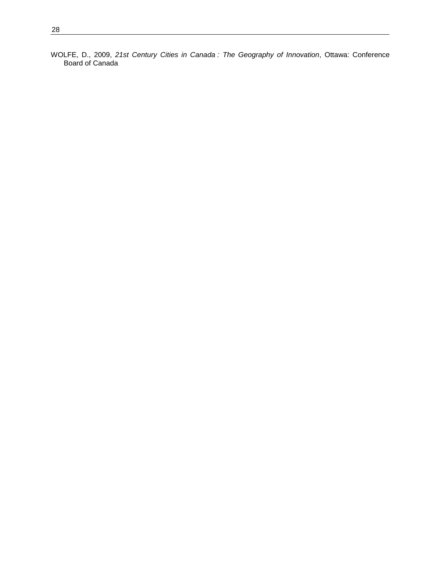WOLFE, D., 2009, *21st Century Cities in Canada : The Geography of Innovation*, Ottawa: Conference Board of Canada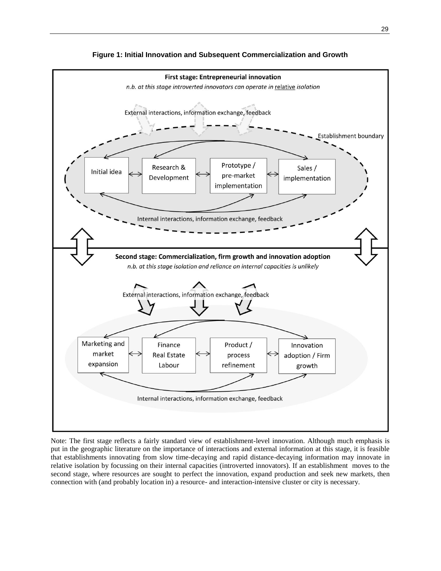

**Figure 1: Initial Innovation and Subsequent Commercialization and Growth**

Note: The first stage reflects a fairly standard view of establishment-level innovation. Although much emphasis is put in the geographic literature on the importance of interactions and external information at this stage, it is feasible that establishments innovating from slow time-decaying and rapid distance-decaying information may innovate in relative isolation by focussing on their internal capacities (introverted innovators). If an establishment moves to the second stage, where resources are sought to perfect the innovation, expand production and seek new markets, then connection with (and probably location in) a resource- and interaction-intensive cluster or city is necessary.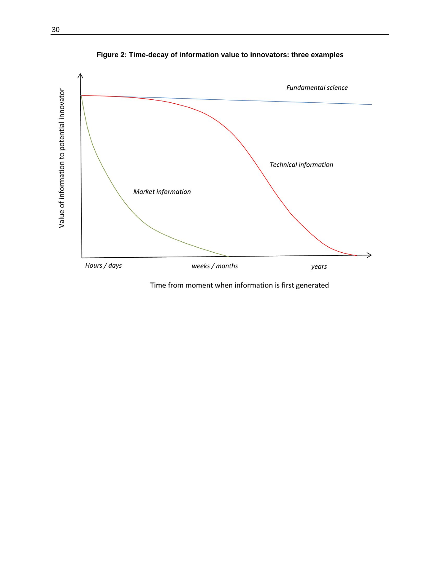

**Figure 2: Time-decay of information value to innovators: three examples**

Time from moment when information is first generated